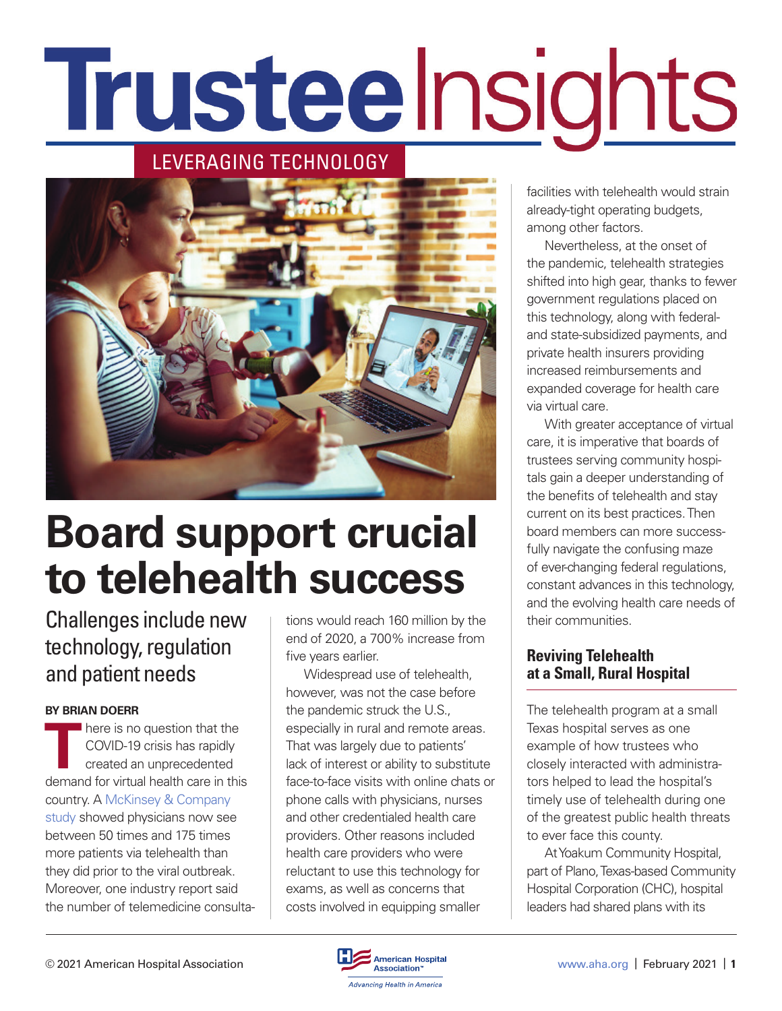# Trusteelnsights

## LEVERAGING TECHNOLOGY



# **Board support crucial to telehealth success**

## Challenges include new technology, regulation and patient needs

#### **BY BRIAN DOERR**

There is no question that the<br>COVID-19 crisis has rapidly<br>created an unprecedented<br>demand for virtual back assessment COVID-19 crisis has rapidly created an unprecedented demand for virtual health care in this country. A [McKinsey & Company](https://www.mckinsey.com/industries/healthcare-systems-and-services/our-insights/telehealth-a-quarter-trillion-dollar-post-covid-19-reality)  [study](https://www.mckinsey.com/industries/healthcare-systems-and-services/our-insights/telehealth-a-quarter-trillion-dollar-post-covid-19-reality) showed physicians now see between 50 times and 175 times more patients via telehealth than they did prior to the viral outbreak. Moreover, one industry report said the number of telemedicine consultations would reach 160 million by the end of 2020, a 700% increase from five years earlier.

Widespread use of telehealth, however, was not the case before the pandemic struck the U.S., especially in rural and remote areas. That was largely due to patients' lack of interest or ability to substitute face-to-face visits with online chats or phone calls with physicians, nurses and other credentialed health care providers. Other reasons included health care providers who were reluctant to use this technology for exams, as well as concerns that costs involved in equipping smaller

facilities with telehealth would strain already-tight operating budgets, among other factors.

Nevertheless, at the onset of the pandemic, telehealth strategies shifted into high gear, thanks to fewer government regulations placed on this technology, along with federaland state-subsidized payments, and private health insurers providing increased reimbursements and expanded coverage for health care via virtual care.

With greater acceptance of virtual care, it is imperative that boards of trustees serving community hospitals gain a deeper understanding of the benefits of telehealth and stay current on its best practices. Then board members can more successfully navigate the confusing maze of ever-changing federal regulations, constant advances in this technology, and the evolving health care needs of their communities.

#### **Reviving Telehealth at a Small, Rural Hospital**

The telehealth program at a small Texas hospital serves as one example of how trustees who closely interacted with administrators helped to lead the hospital's timely use of telehealth during one of the greatest public health threats to ever face this county.

At Yoakum Community Hospital, part of Plano, Texas-based Community Hospital Corporation (CHC), hospital leaders had shared plans with its

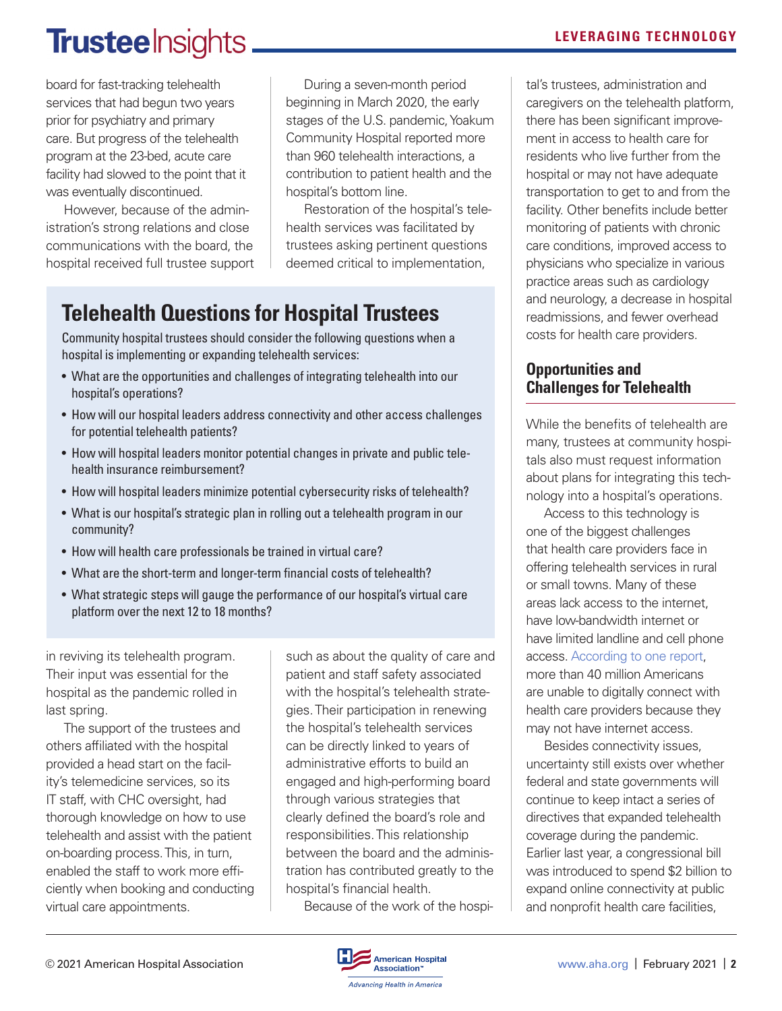## **Trustee** Insights.

board for fast-tracking telehealth services that had begun two years prior for psychiatry and primary care. But progress of the telehealth program at the 23-bed, acute care facility had slowed to the point that it was eventually discontinued.

However, because of the administration's strong relations and close communications with the board, the hospital received full trustee support

During a seven-month period beginning in March 2020, the early stages of the U.S. pandemic, Yoakum Community Hospital reported more than 960 telehealth interactions, a contribution to patient health and the hospital's bottom line.

Restoration of the hospital's telehealth services was facilitated by trustees asking pertinent questions deemed critical to implementation,

## **Telehealth Questions for Hospital Trustees**

Community hospital trustees should consider the following questions when a hospital is implementing or expanding telehealth services:

- What are the opportunities and challenges of integrating telehealth into our hospital's operations?
- How will our hospital leaders address connectivity and other access challenges for potential telehealth patients?
- How will hospital leaders monitor potential changes in private and public telehealth insurance reimbursement?
- How will hospital leaders minimize potential cybersecurity risks of telehealth?
- What is our hospital's strategic plan in rolling out a telehealth program in our community?
- How will health care professionals be trained in virtual care?
- What are the short-term and longer-term financial costs of telehealth?
- What strategic steps will gauge the performance of our hospital's virtual care platform over the next 12 to 18 months?

in reviving its telehealth program. Their input was essential for the hospital as the pandemic rolled in last spring.

The support of the trustees and others affiliated with the hospital provided a head start on the facility's telemedicine services, so its IT staff, with CHC oversight, had thorough knowledge on how to use telehealth and assist with the patient on-boarding process. This, in turn, enabled the staff to work more efficiently when booking and conducting virtual care appointments.

such as about the quality of care and patient and staff safety associated with the hospital's telehealth strategies. Their participation in renewing the hospital's telehealth services can be directly linked to years of administrative efforts to build an engaged and high-performing board through various strategies that clearly defined the board's role and responsibilities. This relationship between the board and the administration has contributed greatly to the hospital's financial health.

Because of the work of the hospi-

#### **LEVERAGING TECHNOLOGY**

tal's trustees, administration and caregivers on the telehealth platform, there has been significant improvement in access to health care for residents who live further from the hospital or may not have adequate transportation to get to and from the facility. Other benefits include better monitoring of patients with chronic care conditions, improved access to physicians who specialize in various practice areas such as cardiology and neurology, a decrease in hospital readmissions, and fewer overhead costs for health care providers.

### **Opportunities and Challenges for Telehealth**

While the benefits of telehealth are many, trustees at community hospitals also must request information about plans for integrating this technology into a hospital's operations.

Access to this technology is one of the biggest challenges that health care providers face in offering telehealth services in rural or small towns. Many of these areas lack access to the internet, have low-bandwidth internet or have limited landline and cell phone access. [According to one report,](https://broadbandnow.com/report/telehealth-requires-broadband-availability/) more than 40 million Americans are unable to digitally connect with health care providers because they may not have internet access.

Besides connectivity issues, uncertainty still exists over whether federal and state governments will continue to keep intact a series of directives that expanded telehealth coverage during the pandemic. Earlier last year, a congressional bill was introduced to spend \$2 billion to expand online connectivity at public and nonprofit health care facilities,